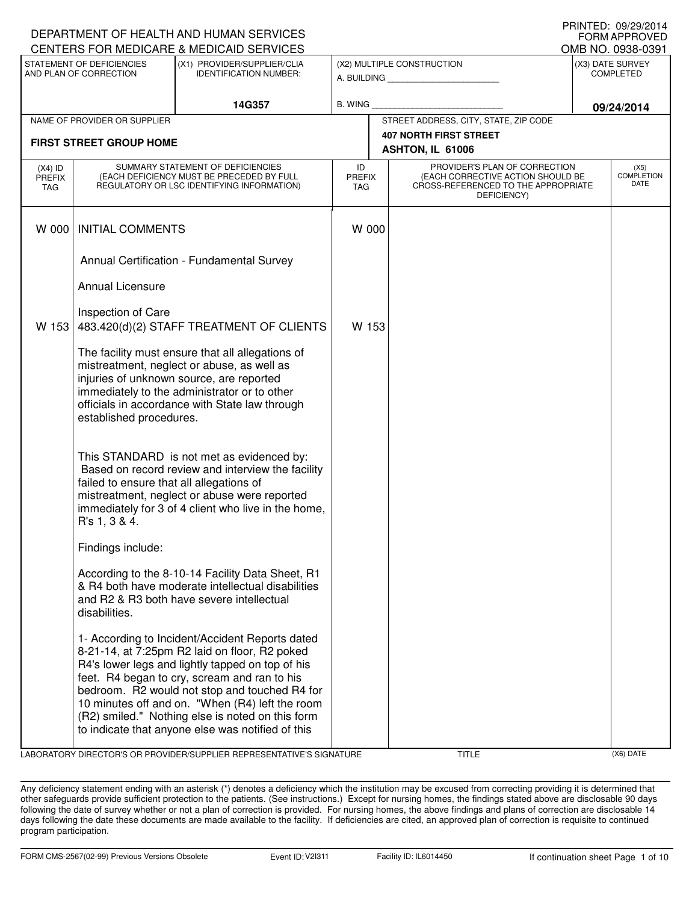|                                                                                                      |                                                           | DEPARTMENT OF HEALTH AND HUMAN SERVICES                                                                                                                                                                                                                                                                                                                                                                           |                                   |                                                                                                                          |                                       | <b>FORM APPROVED</b>              |
|------------------------------------------------------------------------------------------------------|-----------------------------------------------------------|-------------------------------------------------------------------------------------------------------------------------------------------------------------------------------------------------------------------------------------------------------------------------------------------------------------------------------------------------------------------------------------------------------------------|-----------------------------------|--------------------------------------------------------------------------------------------------------------------------|---------------------------------------|-----------------------------------|
| CENTERS FOR MEDICARE & MEDICAID SERVICES<br>STATEMENT OF DEFICIENCIES<br>(X1) PROVIDER/SUPPLIER/CLIA |                                                           |                                                                                                                                                                                                                                                                                                                                                                                                                   |                                   |                                                                                                                          | OMB NO. 0938-0391<br>(X3) DATE SURVEY |                                   |
|                                                                                                      | AND PLAN OF CORRECTION                                    | <b>IDENTIFICATION NUMBER:</b>                                                                                                                                                                                                                                                                                                                                                                                     |                                   | (X2) MULTIPLE CONSTRUCTION                                                                                               |                                       | <b>COMPLETED</b>                  |
|                                                                                                      |                                                           | 14G357                                                                                                                                                                                                                                                                                                                                                                                                            | B. WING                           |                                                                                                                          |                                       | 09/24/2014                        |
|                                                                                                      | NAME OF PROVIDER OR SUPPLIER                              |                                                                                                                                                                                                                                                                                                                                                                                                                   |                                   | STREET ADDRESS, CITY, STATE, ZIP CODE                                                                                    |                                       |                                   |
|                                                                                                      | <b>FIRST STREET GROUP HOME</b>                            |                                                                                                                                                                                                                                                                                                                                                                                                                   |                                   | <b>407 NORTH FIRST STREET</b><br>ASHTON, IL 61006                                                                        |                                       |                                   |
| $(X4)$ ID<br><b>PREFIX</b><br>TAG                                                                    |                                                           | SUMMARY STATEMENT OF DEFICIENCIES<br>(EACH DEFICIENCY MUST BE PRECEDED BY FULL<br>REGULATORY OR LSC IDENTIFYING INFORMATION)                                                                                                                                                                                                                                                                                      | ID<br><b>PREFIX</b><br><b>TAG</b> | PROVIDER'S PLAN OF CORRECTION<br>(EACH CORRECTIVE ACTION SHOULD BE<br>CROSS-REFERENCED TO THE APPROPRIATE<br>DEFICIENCY) |                                       | (X5)<br><b>COMPLETION</b><br>DATE |
| W 000                                                                                                | <b>INITIAL COMMENTS</b>                                   |                                                                                                                                                                                                                                                                                                                                                                                                                   | W 000                             |                                                                                                                          |                                       |                                   |
|                                                                                                      |                                                           | Annual Certification - Fundamental Survey                                                                                                                                                                                                                                                                                                                                                                         |                                   |                                                                                                                          |                                       |                                   |
|                                                                                                      | <b>Annual Licensure</b>                                   |                                                                                                                                                                                                                                                                                                                                                                                                                   |                                   |                                                                                                                          |                                       |                                   |
| W 153                                                                                                | Inspection of Care                                        | 483.420(d)(2) STAFF TREATMENT OF CLIENTS                                                                                                                                                                                                                                                                                                                                                                          | W 153                             |                                                                                                                          |                                       |                                   |
|                                                                                                      | established procedures.                                   | The facility must ensure that all allegations of<br>mistreatment, neglect or abuse, as well as<br>injuries of unknown source, are reported<br>immediately to the administrator or to other<br>officials in accordance with State law through                                                                                                                                                                      |                                   |                                                                                                                          |                                       |                                   |
|                                                                                                      | failed to ensure that all allegations of<br>R's 1, 3 & 4. | This STANDARD is not met as evidenced by:<br>Based on record review and interview the facility<br>mistreatment, neglect or abuse were reported<br>immediately for 3 of 4 client who live in the home,                                                                                                                                                                                                             |                                   |                                                                                                                          |                                       |                                   |
|                                                                                                      | Findings include:                                         |                                                                                                                                                                                                                                                                                                                                                                                                                   |                                   |                                                                                                                          |                                       |                                   |
|                                                                                                      | disabilities.                                             | According to the 8-10-14 Facility Data Sheet, R1<br>& R4 both have moderate intellectual disabilities<br>and R2 & R3 both have severe intellectual                                                                                                                                                                                                                                                                |                                   |                                                                                                                          |                                       |                                   |
|                                                                                                      |                                                           | 1- According to Incident/Accident Reports dated<br>8-21-14, at 7:25pm R2 laid on floor, R2 poked<br>R4's lower legs and lightly tapped on top of his<br>feet. R4 began to cry, scream and ran to his<br>bedroom. R2 would not stop and touched R4 for<br>10 minutes off and on. "When (R4) left the room<br>(R2) smiled." Nothing else is noted on this form<br>to indicate that anyone else was notified of this |                                   |                                                                                                                          |                                       |                                   |

LABORATORY DIRECTOR'S OR PROVIDER/SUPPLIER REPRESENTATIVE'S SIGNATURE TITLE TITLE (X6) DATE

DEPARTMENT OF HEALTH AND HUMAN SERVICES

PRINTED: 09/29/2014

Any deficiency statement ending with an asterisk (\*) denotes a deficiency which the institution may be excused from correcting providing it is determined that other safeguards provide sufficient protection to the patients. (See instructions.) Except for nursing homes, the findings stated above are disclosable 90 days following the date of survey whether or not a plan of correction is provided. For nursing homes, the above findings and plans of correction are disclosable 14 days following the date these documents are made available to the facility. If deficiencies are cited, an approved plan of correction is requisite to continued program participation.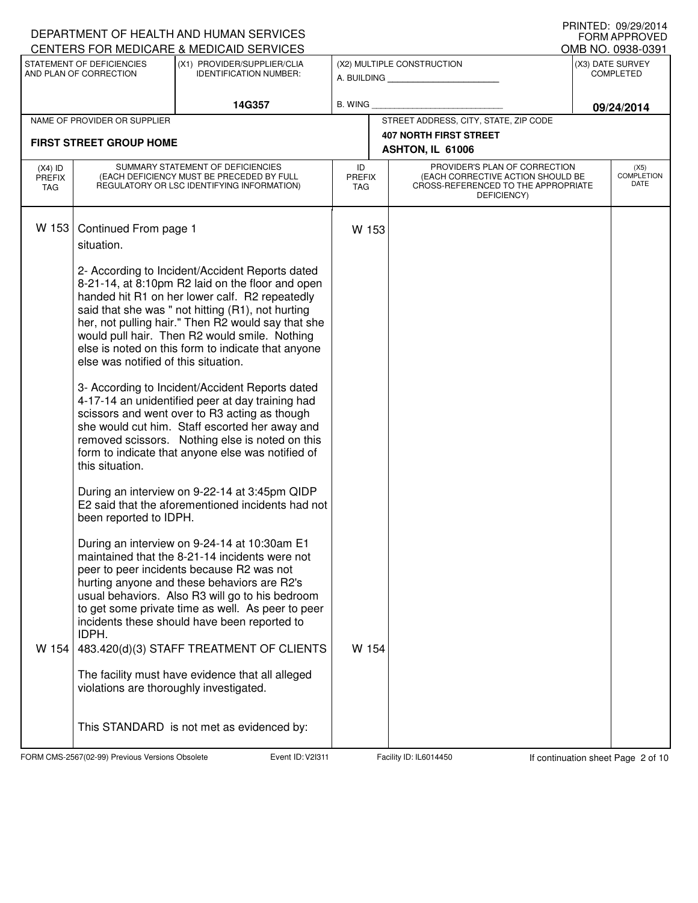|                      |                                         | DEPARTMENT OF HEALTH AND HUMAN SERVICES                                                             |                             |                                       |                                                                          |  | <b>I INIVILD. VJ/LJ/LVI<del>I</del></b><br><b>FORM APPROVED</b> |
|----------------------|-----------------------------------------|-----------------------------------------------------------------------------------------------------|-----------------------------|---------------------------------------|--------------------------------------------------------------------------|--|-----------------------------------------------------------------|
|                      | STATEMENT OF DEFICIENCIES               | CENTERS FOR MEDICARE & MEDICAID SERVICES<br>(X1) PROVIDER/SUPPLIER/CLIA                             |                             |                                       | (X2) MULTIPLE CONSTRUCTION                                               |  | OMB NO. 0938-0391<br>(X3) DATE SURVEY                           |
|                      | AND PLAN OF CORRECTION                  | <b>IDENTIFICATION NUMBER:</b>                                                                       |                             |                                       | A. BUILDING                                                              |  | <b>COMPLETED</b>                                                |
|                      |                                         |                                                                                                     |                             |                                       |                                                                          |  |                                                                 |
|                      | NAME OF PROVIDER OR SUPPLIER            | 14G357                                                                                              | B. WING                     | STREET ADDRESS, CITY, STATE, ZIP CODE |                                                                          |  | 09/24/2014                                                      |
|                      |                                         |                                                                                                     |                             |                                       | <b>407 NORTH FIRST STREET</b>                                            |  |                                                                 |
|                      | <b>FIRST STREET GROUP HOME</b>          |                                                                                                     |                             |                                       | ASHTON, IL 61006                                                         |  |                                                                 |
| $(X4)$ ID            |                                         | SUMMARY STATEMENT OF DEFICIENCIES                                                                   | ID                          |                                       | PROVIDER'S PLAN OF CORRECTION                                            |  | (X5)<br><b>COMPLETION</b>                                       |
| <b>PREFIX</b><br>TAG |                                         | (EACH DEFICIENCY MUST BE PRECEDED BY FULL<br>REGULATORY OR LSC IDENTIFYING INFORMATION)             | <b>PREFIX</b><br><b>TAG</b> |                                       | (EACH CORRECTIVE ACTION SHOULD BE<br>CROSS-REFERENCED TO THE APPROPRIATE |  | DATE                                                            |
|                      |                                         |                                                                                                     |                             |                                       | DEFICIENCY)                                                              |  |                                                                 |
| W 153                |                                         |                                                                                                     |                             |                                       |                                                                          |  |                                                                 |
|                      | Continued From page 1<br>situation.     |                                                                                                     | W 153                       |                                       |                                                                          |  |                                                                 |
|                      |                                         |                                                                                                     |                             |                                       |                                                                          |  |                                                                 |
|                      |                                         | 2- According to Incident/Accident Reports dated                                                     |                             |                                       |                                                                          |  |                                                                 |
|                      |                                         | 8-21-14, at 8:10pm R2 laid on the floor and open                                                    |                             |                                       |                                                                          |  |                                                                 |
|                      |                                         | handed hit R1 on her lower calf. R2 repeatedly<br>said that she was " not hitting (R1), not hurting |                             |                                       |                                                                          |  |                                                                 |
|                      |                                         | her, not pulling hair." Then R2 would say that she                                                  |                             |                                       |                                                                          |  |                                                                 |
|                      |                                         | would pull hair. Then R2 would smile. Nothing                                                       |                             |                                       |                                                                          |  |                                                                 |
|                      | else was notified of this situation.    | else is noted on this form to indicate that anyone                                                  |                             |                                       |                                                                          |  |                                                                 |
|                      |                                         |                                                                                                     |                             |                                       |                                                                          |  |                                                                 |
|                      |                                         | 3- According to Incident/Accident Reports dated                                                     |                             |                                       |                                                                          |  |                                                                 |
|                      |                                         | 4-17-14 an unidentified peer at day training had<br>scissors and went over to R3 acting as though   |                             |                                       |                                                                          |  |                                                                 |
|                      |                                         | she would cut him. Staff escorted her away and                                                      |                             |                                       |                                                                          |  |                                                                 |
|                      |                                         | removed scissors. Nothing else is noted on this                                                     |                             |                                       |                                                                          |  |                                                                 |
|                      | this situation.                         | form to indicate that anyone else was notified of                                                   |                             |                                       |                                                                          |  |                                                                 |
|                      |                                         |                                                                                                     |                             |                                       |                                                                          |  |                                                                 |
|                      |                                         | During an interview on 9-22-14 at 3:45pm QIDP                                                       |                             |                                       |                                                                          |  |                                                                 |
|                      | been reported to IDPH.                  | E2 said that the aforementioned incidents had not                                                   |                             |                                       |                                                                          |  |                                                                 |
|                      |                                         |                                                                                                     |                             |                                       |                                                                          |  |                                                                 |
|                      |                                         | During an interview on 9-24-14 at 10:30am E1                                                        |                             |                                       |                                                                          |  |                                                                 |
|                      |                                         | maintained that the 8-21-14 incidents were not<br>peer to peer incidents because R2 was not         |                             |                                       |                                                                          |  |                                                                 |
|                      |                                         | hurting anyone and these behaviors are R2's                                                         |                             |                                       |                                                                          |  |                                                                 |
|                      |                                         | usual behaviors. Also R3 will go to his bedroom                                                     |                             |                                       |                                                                          |  |                                                                 |
|                      |                                         | to get some private time as well. As peer to peer                                                   |                             |                                       |                                                                          |  |                                                                 |
|                      | IDPH.                                   | incidents these should have been reported to                                                        |                             |                                       |                                                                          |  |                                                                 |
| W 154                |                                         | 483.420(d)(3) STAFF TREATMENT OF CLIENTS                                                            | W 154                       |                                       |                                                                          |  |                                                                 |
|                      |                                         |                                                                                                     |                             |                                       |                                                                          |  |                                                                 |
|                      | violations are thoroughly investigated. | The facility must have evidence that all alleged                                                    |                             |                                       |                                                                          |  |                                                                 |
|                      |                                         |                                                                                                     |                             |                                       |                                                                          |  |                                                                 |
|                      |                                         |                                                                                                     |                             |                                       |                                                                          |  |                                                                 |
|                      |                                         | This STANDARD is not met as evidenced by:                                                           |                             |                                       |                                                                          |  |                                                                 |
|                      |                                         |                                                                                                     |                             |                                       |                                                                          |  |                                                                 |

FORM CMS-2567(02-99) Previous Versions Obsolete Event ID: V2I311 Facility ID: IL6014450 If continuation sheet Page 2 of 10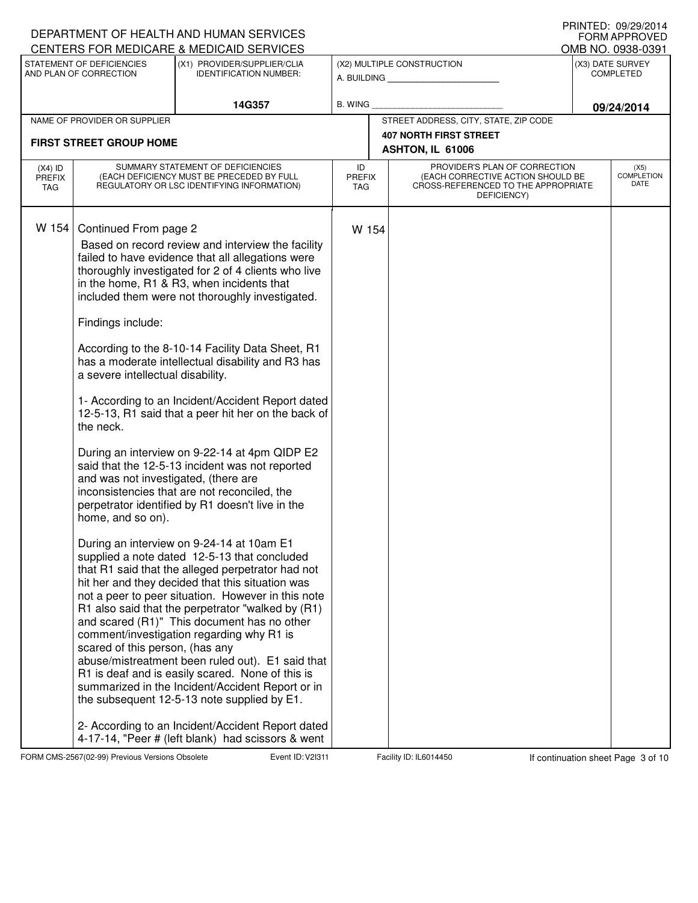|                                          |                                                                                                                                                                                              | DEPARTMENT OF HEALTH AND HUMAN SERVICES                                                                                                                                                                                                                                                                                                                                                                                                                                                                                                                                                                                                                                                                                                                                                                                                                                                                                                                                                                                                                                                                                                                                                                                                                                                                                                                                                                                      |                                   |                                                                                                                          | <b>FORM APPROVED</b>                  |
|------------------------------------------|----------------------------------------------------------------------------------------------------------------------------------------------------------------------------------------------|------------------------------------------------------------------------------------------------------------------------------------------------------------------------------------------------------------------------------------------------------------------------------------------------------------------------------------------------------------------------------------------------------------------------------------------------------------------------------------------------------------------------------------------------------------------------------------------------------------------------------------------------------------------------------------------------------------------------------------------------------------------------------------------------------------------------------------------------------------------------------------------------------------------------------------------------------------------------------------------------------------------------------------------------------------------------------------------------------------------------------------------------------------------------------------------------------------------------------------------------------------------------------------------------------------------------------------------------------------------------------------------------------------------------------|-----------------------------------|--------------------------------------------------------------------------------------------------------------------------|---------------------------------------|
|                                          | STATEMENT OF DEFICIENCIES                                                                                                                                                                    | CENTERS FOR MEDICARE & MEDICAID SERVICES<br>(X1) PROVIDER/SUPPLIER/CLIA                                                                                                                                                                                                                                                                                                                                                                                                                                                                                                                                                                                                                                                                                                                                                                                                                                                                                                                                                                                                                                                                                                                                                                                                                                                                                                                                                      |                                   | (X2) MULTIPLE CONSTRUCTION                                                                                               | OMB NO. 0938-0391<br>(X3) DATE SURVEY |
|                                          | AND PLAN OF CORRECTION                                                                                                                                                                       | <b>IDENTIFICATION NUMBER:</b>                                                                                                                                                                                                                                                                                                                                                                                                                                                                                                                                                                                                                                                                                                                                                                                                                                                                                                                                                                                                                                                                                                                                                                                                                                                                                                                                                                                                |                                   | A. BUILDING <b>A.</b> BUILDING                                                                                           | <b>COMPLETED</b>                      |
|                                          |                                                                                                                                                                                              | 14G357                                                                                                                                                                                                                                                                                                                                                                                                                                                                                                                                                                                                                                                                                                                                                                                                                                                                                                                                                                                                                                                                                                                                                                                                                                                                                                                                                                                                                       | <b>B. WING</b>                    |                                                                                                                          | 09/24/2014                            |
|                                          | NAME OF PROVIDER OR SUPPLIER                                                                                                                                                                 |                                                                                                                                                                                                                                                                                                                                                                                                                                                                                                                                                                                                                                                                                                                                                                                                                                                                                                                                                                                                                                                                                                                                                                                                                                                                                                                                                                                                                              |                                   | STREET ADDRESS, CITY, STATE, ZIP CODE                                                                                    |                                       |
|                                          | <b>FIRST STREET GROUP HOME</b>                                                                                                                                                               |                                                                                                                                                                                                                                                                                                                                                                                                                                                                                                                                                                                                                                                                                                                                                                                                                                                                                                                                                                                                                                                                                                                                                                                                                                                                                                                                                                                                                              |                                   | <b>407 NORTH FIRST STREET</b><br>ASHTON, IL 61006                                                                        |                                       |
| $(X4)$ ID<br><b>PREFIX</b><br><b>TAG</b> |                                                                                                                                                                                              | SUMMARY STATEMENT OF DEFICIENCIES<br>(EACH DEFICIENCY MUST BE PRECEDED BY FULL<br>REGULATORY OR LSC IDENTIFYING INFORMATION)                                                                                                                                                                                                                                                                                                                                                                                                                                                                                                                                                                                                                                                                                                                                                                                                                                                                                                                                                                                                                                                                                                                                                                                                                                                                                                 | ID<br><b>PREFIX</b><br><b>TAG</b> | PROVIDER'S PLAN OF CORRECTION<br>(EACH CORRECTIVE ACTION SHOULD BE<br>CROSS-REFERENCED TO THE APPROPRIATE<br>DEFICIENCY) | (X5)<br><b>COMPLETION</b><br>DATE     |
| W 154                                    | Continued From page 2<br>Findings include:<br>a severe intellectual disability.<br>the neck.<br>and was not investigated, (there are<br>home, and so on).<br>scared of this person, (has any | Based on record review and interview the facility<br>failed to have evidence that all allegations were<br>thoroughly investigated for 2 of 4 clients who live<br>in the home, R1 & R3, when incidents that<br>included them were not thoroughly investigated.<br>According to the 8-10-14 Facility Data Sheet, R1<br>has a moderate intellectual disability and R3 has<br>1- According to an Incident/Accident Report dated<br>12-5-13, R1 said that a peer hit her on the back of<br>During an interview on 9-22-14 at 4pm QIDP E2<br>said that the 12-5-13 incident was not reported<br>inconsistencies that are not reconciled, the<br>perpetrator identified by R1 doesn't live in the<br>During an interview on 9-24-14 at 10am E1<br>supplied a note dated 12-5-13 that concluded<br>that R1 said that the alleged perpetrator had not<br>hit her and they decided that this situation was<br>not a peer to peer situation. However in this note<br>R1 also said that the perpetrator "walked by (R1)<br>and scared (R1)" This document has no other<br>comment/investigation regarding why R1 is<br>abuse/mistreatment been ruled out). E1 said that<br>R1 is deaf and is easily scared. None of this is<br>summarized in the Incident/Accident Report or in<br>the subsequent 12-5-13 note supplied by E1.<br>2- According to an Incident/Accident Report dated<br>4-17-14, "Peer # (left blank) had scissors & went | W 154                             |                                                                                                                          |                                       |

FORM CMS-2567(02-99) Previous Versions Obsolete Event ID: V2I311 Facility ID: IL6014450 If continuation sheet Page 3 of 10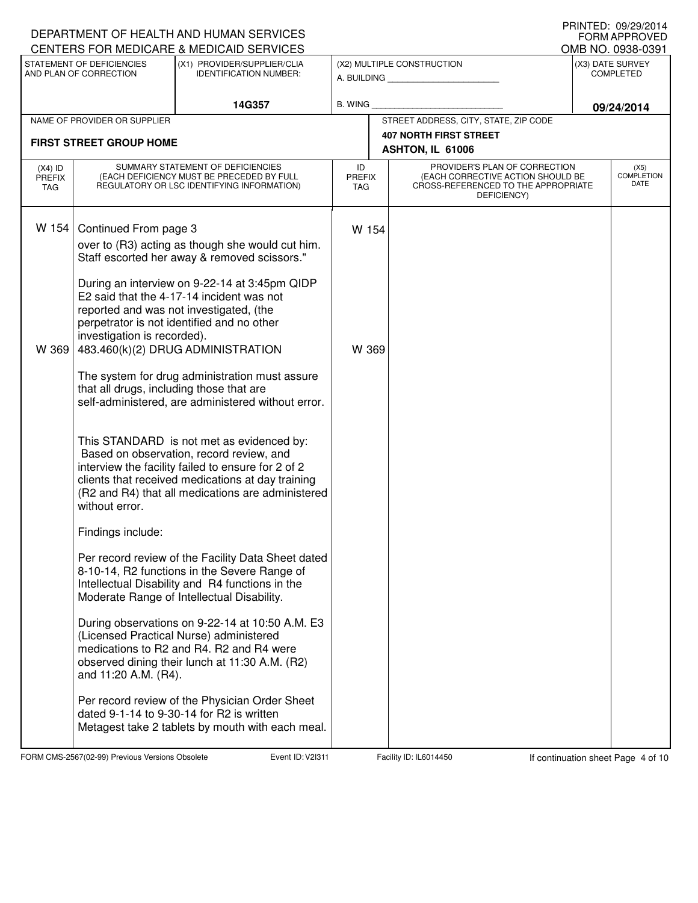|                                   |                                                                         | DEPARTMENT OF HEALTH AND HUMAN SERVICES<br>CENTERS FOR MEDICARE & MEDICAID SERVICES                                                                                                                                                                                                     |                            |                                                                                                                          | <b>FORM APPROVED</b>                  |
|-----------------------------------|-------------------------------------------------------------------------|-----------------------------------------------------------------------------------------------------------------------------------------------------------------------------------------------------------------------------------------------------------------------------------------|----------------------------|--------------------------------------------------------------------------------------------------------------------------|---------------------------------------|
|                                   | STATEMENT OF DEFICIENCIES                                               | (X1) PROVIDER/SUPPLIER/CLIA                                                                                                                                                                                                                                                             |                            | (X2) MULTIPLE CONSTRUCTION                                                                                               | OMB NO. 0938-0391<br>(X3) DATE SURVEY |
|                                   | AND PLAN OF CORRECTION                                                  | <b>IDENTIFICATION NUMBER:</b>                                                                                                                                                                                                                                                           |                            |                                                                                                                          | <b>COMPLETED</b>                      |
|                                   |                                                                         | 14G357                                                                                                                                                                                                                                                                                  | <b>B. WING</b>             |                                                                                                                          | 09/24/2014                            |
|                                   | NAME OF PROVIDER OR SUPPLIER                                            |                                                                                                                                                                                                                                                                                         |                            | STREET ADDRESS, CITY, STATE, ZIP CODE                                                                                    |                                       |
|                                   | <b>FIRST STREET GROUP HOME</b>                                          |                                                                                                                                                                                                                                                                                         |                            | <b>407 NORTH FIRST STREET</b><br>ASHTON, IL 61006                                                                        |                                       |
| $(X4)$ ID<br><b>PREFIX</b><br>TAG |                                                                         | SUMMARY STATEMENT OF DEFICIENCIES<br>(EACH DEFICIENCY MUST BE PRECEDED BY FULL<br>REGULATORY OR LSC IDENTIFYING INFORMATION)                                                                                                                                                            | ID<br><b>PREFIX</b><br>TAG | PROVIDER'S PLAN OF CORRECTION<br>(EACH CORRECTIVE ACTION SHOULD BE<br>CROSS-REFERENCED TO THE APPROPRIATE<br>DEFICIENCY) | (X5)<br><b>COMPLETION</b><br>DATE     |
| W 154                             | Continued From page 3                                                   | over to (R3) acting as though she would cut him.<br>Staff escorted her away & removed scissors."<br>During an interview on 9-22-14 at 3:45pm QIDP<br>E2 said that the 4-17-14 incident was not<br>reported and was not investigated, (the<br>perpetrator is not identified and no other | W 154                      |                                                                                                                          |                                       |
| W 369                             | investigation is recorded).<br>that all drugs, including those that are | 483.460(k)(2) DRUG ADMINISTRATION<br>The system for drug administration must assure<br>self-administered, are administered without error.                                                                                                                                               | W 369                      |                                                                                                                          |                                       |
|                                   | without error.                                                          | This STANDARD is not met as evidenced by:<br>Based on observation, record review, and<br>interview the facility failed to ensure for 2 of 2<br>clients that received medications at day training<br>(R2 and R4) that all medications are administered                                   |                            |                                                                                                                          |                                       |
|                                   | Findings include:                                                       |                                                                                                                                                                                                                                                                                         |                            |                                                                                                                          |                                       |
|                                   |                                                                         | Per record review of the Facility Data Sheet dated<br>8-10-14, R2 functions in the Severe Range of<br>Intellectual Disability and R4 functions in the<br>Moderate Range of Intellectual Disability.                                                                                     |                            |                                                                                                                          |                                       |
|                                   | and 11:20 A.M. (R4).                                                    | During observations on 9-22-14 at 10:50 A.M. E3<br>(Licensed Practical Nurse) administered<br>medications to R2 and R4. R2 and R4 were<br>observed dining their lunch at 11:30 A.M. (R2)                                                                                                |                            |                                                                                                                          |                                       |
|                                   |                                                                         | Per record review of the Physician Order Sheet<br>dated 9-1-14 to 9-30-14 for R2 is written<br>Metagest take 2 tablets by mouth with each meal.                                                                                                                                         |                            |                                                                                                                          |                                       |

FORM CMS-2567(02-99) Previous Versions Obsolete Event ID: V2I311 Facility ID: IL6014450 If continuation sheet Page 4 of 10

DEPARTMENT OF HEALTH AND HUMAN SERVICES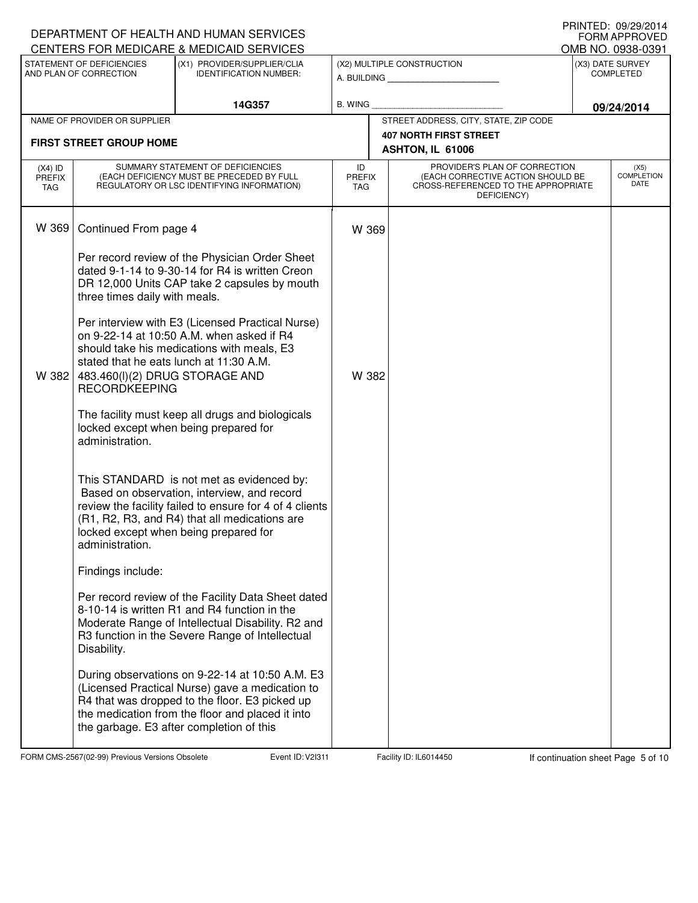|                                   |                                                                                                   | DEPARTMENT OF HEALTH AND HUMAN SERVICES                                                                                                                                                                                                              |                                   |                                                                                                                          | <b>I IUIVILD. VJ/LJ/LVI<del>I</del></b><br>FORM APPROVED |
|-----------------------------------|---------------------------------------------------------------------------------------------------|------------------------------------------------------------------------------------------------------------------------------------------------------------------------------------------------------------------------------------------------------|-----------------------------------|--------------------------------------------------------------------------------------------------------------------------|----------------------------------------------------------|
|                                   | STATEMENT OF DEFICIENCIES                                                                         | CENTERS FOR MEDICARE & MEDICAID SERVICES<br>(X1) PROVIDER/SUPPLIER/CLIA                                                                                                                                                                              |                                   | (X2) MULTIPLE CONSTRUCTION                                                                                               | OMB NO. 0938-0391<br>(X3) DATE SURVEY                    |
|                                   | AND PLAN OF CORRECTION                                                                            | <b>IDENTIFICATION NUMBER:</b>                                                                                                                                                                                                                        |                                   | A. BUILDING                                                                                                              | <b>COMPLETED</b>                                         |
|                                   |                                                                                                   | 14G357                                                                                                                                                                                                                                               | <b>B. WING</b>                    |                                                                                                                          | 09/24/2014                                               |
|                                   | NAME OF PROVIDER OR SUPPLIER                                                                      |                                                                                                                                                                                                                                                      |                                   | STREET ADDRESS, CITY, STATE, ZIP CODE                                                                                    |                                                          |
|                                   | <b>FIRST STREET GROUP HOME</b>                                                                    |                                                                                                                                                                                                                                                      |                                   | <b>407 NORTH FIRST STREET</b>                                                                                            |                                                          |
|                                   |                                                                                                   |                                                                                                                                                                                                                                                      |                                   | ASHTON, IL 61006                                                                                                         |                                                          |
| $(X4)$ ID<br><b>PREFIX</b><br>TAG |                                                                                                   | SUMMARY STATEMENT OF DEFICIENCIES<br>(EACH DEFICIENCY MUST BE PRECEDED BY FULL<br>REGULATORY OR LSC IDENTIFYING INFORMATION)                                                                                                                         | ID<br><b>PREFIX</b><br><b>TAG</b> | PROVIDER'S PLAN OF CORRECTION<br>(EACH CORRECTIVE ACTION SHOULD BE<br>CROSS-REFERENCED TO THE APPROPRIATE<br>DEFICIENCY) | (X5)<br><b>COMPLETION</b><br>DATE                        |
| W 369                             | Continued From page 4                                                                             |                                                                                                                                                                                                                                                      | W 369                             |                                                                                                                          |                                                          |
|                                   | three times daily with meals.                                                                     | Per record review of the Physician Order Sheet<br>dated 9-1-14 to 9-30-14 for R4 is written Creon<br>DR 12,000 Units CAP take 2 capsules by mouth                                                                                                    |                                   |                                                                                                                          |                                                          |
| W 382                             | stated that he eats lunch at 11:30 A.M.<br>483.460(I)(2) DRUG STORAGE AND<br><b>RECORDKEEPING</b> | Per interview with E3 (Licensed Practical Nurse)<br>on 9-22-14 at 10:50 A.M. when asked if R4<br>should take his medications with meals, E3                                                                                                          | W 382                             |                                                                                                                          |                                                          |
|                                   | administration.                                                                                   | The facility must keep all drugs and biologicals<br>locked except when being prepared for                                                                                                                                                            |                                   |                                                                                                                          |                                                          |
|                                   | administration.                                                                                   | This STANDARD is not met as evidenced by:<br>Based on observation, interview, and record<br>review the facility failed to ensure for 4 of 4 clients<br>(R1, R2, R3, and R4) that all medications are<br>locked except when being prepared for        |                                   |                                                                                                                          |                                                          |
|                                   | Findings include:                                                                                 |                                                                                                                                                                                                                                                      |                                   |                                                                                                                          |                                                          |
|                                   | Disability.                                                                                       | Per record review of the Facility Data Sheet dated<br>8-10-14 is written R1 and R4 function in the<br>Moderate Range of Intellectual Disability. R2 and<br>R3 function in the Severe Range of Intellectual                                           |                                   |                                                                                                                          |                                                          |
|                                   |                                                                                                   | During observations on 9-22-14 at 10:50 A.M. E3<br>(Licensed Practical Nurse) gave a medication to<br>R4 that was dropped to the floor. E3 picked up<br>the medication from the floor and placed it into<br>the garbage. E3 after completion of this |                                   |                                                                                                                          |                                                          |

FORM CMS-2567(02-99) Previous Versions Obsolete Event ID: V2I311 Facility ID: IL6014450 If continuation sheet Page 5 of 10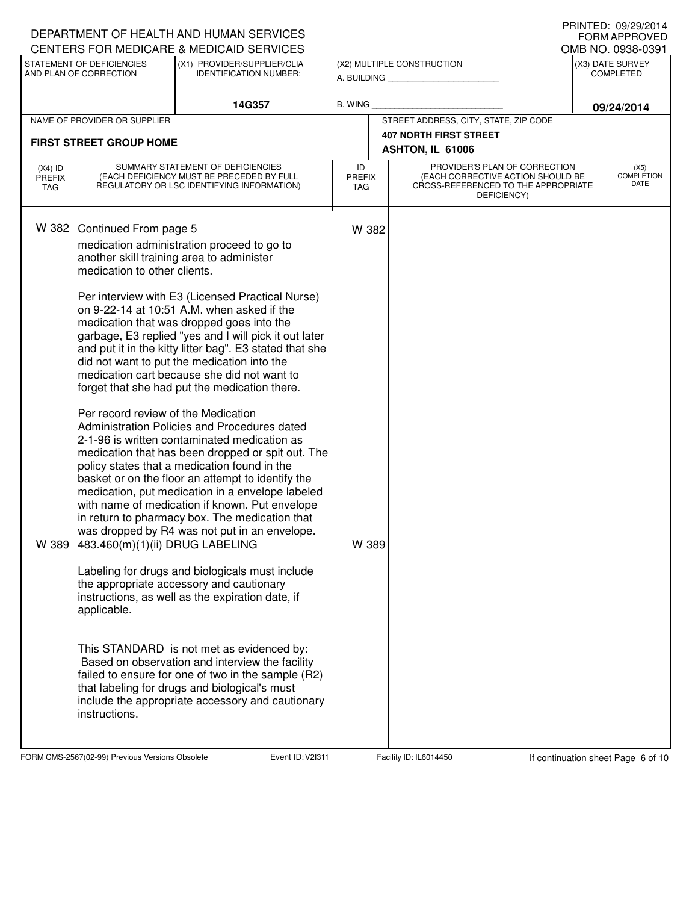|                                          |                                                                                                                                                                 | DEPARTMENT OF HEALTH AND HUMAN SERVICES<br>CENTERS FOR MEDICARE & MEDICAID SERVICES                                                                                                                                                                                                                                                                                                                                                                                                                                                                                                                                                                                                                                                                                                                                                                                                                                                                                                                                                                                                                                                                                                                                                                                                                                                                                                        |                                   |                                                                                                                          | <b>!!!!!\!∟</b> レ. ∪ <i>ט</i> /∠ <i>ט</i> /∠∪ ד+<br><b>FORM APPROVED</b><br>OMB NO. 0938-0391 |
|------------------------------------------|-----------------------------------------------------------------------------------------------------------------------------------------------------------------|--------------------------------------------------------------------------------------------------------------------------------------------------------------------------------------------------------------------------------------------------------------------------------------------------------------------------------------------------------------------------------------------------------------------------------------------------------------------------------------------------------------------------------------------------------------------------------------------------------------------------------------------------------------------------------------------------------------------------------------------------------------------------------------------------------------------------------------------------------------------------------------------------------------------------------------------------------------------------------------------------------------------------------------------------------------------------------------------------------------------------------------------------------------------------------------------------------------------------------------------------------------------------------------------------------------------------------------------------------------------------------------------|-----------------------------------|--------------------------------------------------------------------------------------------------------------------------|-----------------------------------------------------------------------------------------------|
|                                          | STATEMENT OF DEFICIENCIES<br>AND PLAN OF CORRECTION                                                                                                             | (X1) PROVIDER/SUPPLIER/CLIA<br><b>IDENTIFICATION NUMBER:</b>                                                                                                                                                                                                                                                                                                                                                                                                                                                                                                                                                                                                                                                                                                                                                                                                                                                                                                                                                                                                                                                                                                                                                                                                                                                                                                                               |                                   | (X2) MULTIPLE CONSTRUCTION<br>A. BUILDING                                                                                | (X3) DATE SURVEY<br><b>COMPLETED</b>                                                          |
|                                          |                                                                                                                                                                 | 14G357                                                                                                                                                                                                                                                                                                                                                                                                                                                                                                                                                                                                                                                                                                                                                                                                                                                                                                                                                                                                                                                                                                                                                                                                                                                                                                                                                                                     | B. WING                           |                                                                                                                          | 09/24/2014                                                                                    |
|                                          | NAME OF PROVIDER OR SUPPLIER                                                                                                                                    |                                                                                                                                                                                                                                                                                                                                                                                                                                                                                                                                                                                                                                                                                                                                                                                                                                                                                                                                                                                                                                                                                                                                                                                                                                                                                                                                                                                            |                                   | STREET ADDRESS, CITY, STATE, ZIP CODE                                                                                    |                                                                                               |
|                                          | <b>FIRST STREET GROUP HOME</b>                                                                                                                                  |                                                                                                                                                                                                                                                                                                                                                                                                                                                                                                                                                                                                                                                                                                                                                                                                                                                                                                                                                                                                                                                                                                                                                                                                                                                                                                                                                                                            |                                   | <b>407 NORTH FIRST STREET</b><br>ASHTON, IL 61006                                                                        |                                                                                               |
| $(X4)$ ID<br><b>PREFIX</b><br><b>TAG</b> |                                                                                                                                                                 | SUMMARY STATEMENT OF DEFICIENCIES<br>(EACH DEFICIENCY MUST BE PRECEDED BY FULL<br>REGULATORY OR LSC IDENTIFYING INFORMATION)                                                                                                                                                                                                                                                                                                                                                                                                                                                                                                                                                                                                                                                                                                                                                                                                                                                                                                                                                                                                                                                                                                                                                                                                                                                               | ID<br><b>PREFIX</b><br><b>TAG</b> | PROVIDER'S PLAN OF CORRECTION<br>(EACH CORRECTIVE ACTION SHOULD BE<br>CROSS-REFERENCED TO THE APPROPRIATE<br>DEFICIENCY) | (X5)<br><b>COMPLETION</b><br>DATE                                                             |
| W 382<br>W 389                           | Continued From page 5<br>medication to other clients.<br>Per record review of the Medication<br>483.460(m)(1)(ii) DRUG LABELING<br>applicable.<br>instructions. | medication administration proceed to go to<br>another skill training area to administer<br>Per interview with E3 (Licensed Practical Nurse)<br>on 9-22-14 at 10:51 A.M. when asked if the<br>medication that was dropped goes into the<br>garbage, E3 replied "yes and I will pick it out later<br>and put it in the kitty litter bag". E3 stated that she<br>did not want to put the medication into the<br>medication cart because she did not want to<br>forget that she had put the medication there.<br>Administration Policies and Procedures dated<br>2-1-96 is written contaminated medication as<br>medication that has been dropped or spit out. The<br>policy states that a medication found in the<br>basket or on the floor an attempt to identify the<br>medication, put medication in a envelope labeled<br>with name of medication if known. Put envelope<br>in return to pharmacy box. The medication that<br>was dropped by R4 was not put in an envelope.<br>Labeling for drugs and biologicals must include<br>the appropriate accessory and cautionary<br>instructions, as well as the expiration date, if<br>This STANDARD is not met as evidenced by:<br>Based on observation and interview the facility<br>failed to ensure for one of two in the sample (R2)<br>that labeling for drugs and biological's must<br>include the appropriate accessory and cautionary | W 382<br>W 389                    |                                                                                                                          |                                                                                               |

FORM CMS-2567(02-99) Previous Versions Obsolete Event ID: V2I311 Facility ID: IL6014450 If continuation sheet Page 6 of 10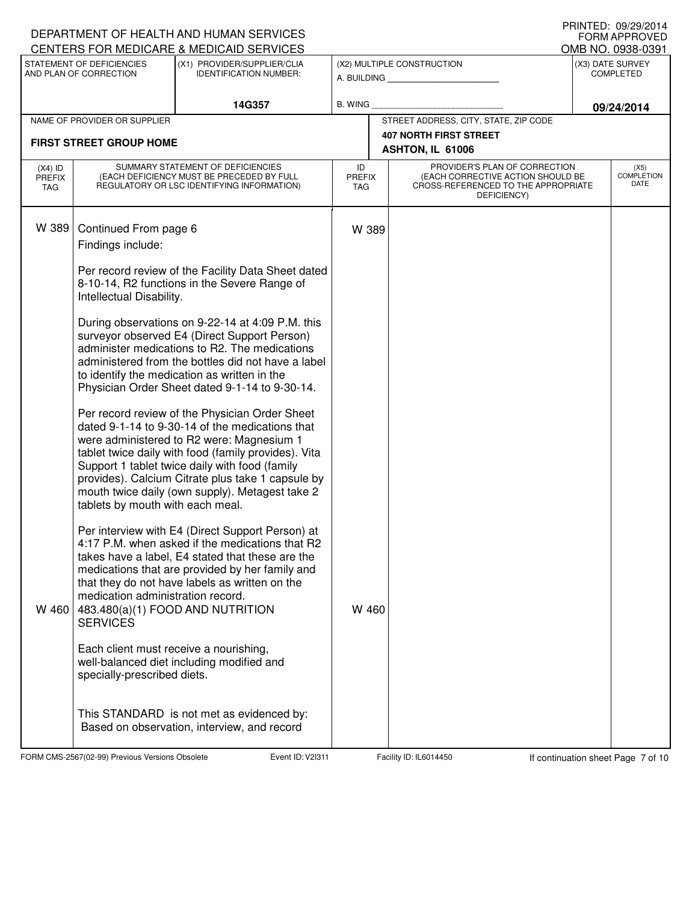|                                   |                                                                       | DEPARTMENT OF HEALTH AND HUMAN SERVICES<br>CENTERS FOR MEDICARE & MEDICAID SERVICES                                                                                                                                                                                                                                                                              |                            |                                                                                                                          | FORM APPROVED                         |
|-----------------------------------|-----------------------------------------------------------------------|------------------------------------------------------------------------------------------------------------------------------------------------------------------------------------------------------------------------------------------------------------------------------------------------------------------------------------------------------------------|----------------------------|--------------------------------------------------------------------------------------------------------------------------|---------------------------------------|
|                                   | STATEMENT OF DEFICIENCIES                                             | (X1) PROVIDER/SUPPLIER/CLIA                                                                                                                                                                                                                                                                                                                                      |                            |                                                                                                                          | OMB NO. 0938-0391<br>(X3) DATE SURVEY |
|                                   | AND PLAN OF CORRECTION                                                | <b>IDENTIFICATION NUMBER:</b>                                                                                                                                                                                                                                                                                                                                    |                            | (X2) MULTIPLE CONSTRUCTION<br>A. BUILDING AND AN INCOME.                                                                 | <b>COMPLETED</b>                      |
|                                   |                                                                       | 14G357                                                                                                                                                                                                                                                                                                                                                           | B. WING                    |                                                                                                                          | 09/24/2014                            |
|                                   | NAME OF PROVIDER OR SUPPLIER                                          |                                                                                                                                                                                                                                                                                                                                                                  |                            | STREET ADDRESS, CITY, STATE, ZIP CODE                                                                                    |                                       |
|                                   | <b>FIRST STREET GROUP HOME</b>                                        |                                                                                                                                                                                                                                                                                                                                                                  |                            | <b>407 NORTH FIRST STREET</b><br>ASHTON, IL 61006                                                                        |                                       |
|                                   |                                                                       |                                                                                                                                                                                                                                                                                                                                                                  |                            |                                                                                                                          |                                       |
| $(X4)$ ID<br><b>PREFIX</b><br>TAG |                                                                       | SUMMARY STATEMENT OF DEFICIENCIES<br>(EACH DEFICIENCY MUST BE PRECEDED BY FULL<br>REGULATORY OR LSC IDENTIFYING INFORMATION)                                                                                                                                                                                                                                     | ID<br><b>PREFIX</b><br>TAG | PROVIDER'S PLAN OF CORRECTION<br>(EACH CORRECTIVE ACTION SHOULD BE<br>CROSS-REFERENCED TO THE APPROPRIATE<br>DEFICIENCY) | (X5)<br><b>COMPLETION</b><br>DATE     |
| W 389                             | Continued From page 6<br>Findings include:                            |                                                                                                                                                                                                                                                                                                                                                                  | W 389                      |                                                                                                                          |                                       |
|                                   | Intellectual Disability.                                              | Per record review of the Facility Data Sheet dated<br>8-10-14, R2 functions in the Severe Range of                                                                                                                                                                                                                                                               |                            |                                                                                                                          |                                       |
|                                   |                                                                       | During observations on 9-22-14 at 4:09 P.M. this<br>surveyor observed E4 (Direct Support Person)<br>administer medications to R2. The medications<br>administered from the bottles did not have a label<br>to identify the medication as written in the<br>Physician Order Sheet dated 9-1-14 to 9-30-14.                                                        |                            |                                                                                                                          |                                       |
|                                   | tablets by mouth with each meal.                                      | Per record review of the Physician Order Sheet<br>dated 9-1-14 to 9-30-14 of the medications that<br>were administered to R2 were: Magnesium 1<br>tablet twice daily with food (family provides). Vita<br>Support 1 tablet twice daily with food (family<br>provides). Calcium Citrate plus take 1 capsule by<br>mouth twice daily (own supply). Metagest take 2 |                            |                                                                                                                          |                                       |
| W 460                             | medication administration record.<br><b>SERVICES</b>                  | Per interview with E4 (Direct Support Person) at<br>4:17 P.M. when asked if the medications that R2<br>takes have a label, E4 stated that these are the<br>medications that are provided by her family and<br>that they do not have labels as written on the<br>483.480(a)(1) FOOD AND NUTRITION                                                                 | W 460                      |                                                                                                                          |                                       |
|                                   | Each client must receive a nourishing,<br>specially-prescribed diets. | well-balanced diet including modified and                                                                                                                                                                                                                                                                                                                        |                            |                                                                                                                          |                                       |
|                                   |                                                                       | This STANDARD is not met as evidenced by:<br>Based on observation, interview, and record                                                                                                                                                                                                                                                                         |                            |                                                                                                                          |                                       |

FORM CMS-2567(02-99) Previous Versions Obsolete Event ID: V2I311 Facility ID: IL6014450 If continuation sheet Page 7 of 10

DEPARTMENT OF HEALTH AND HUMAN SERVICES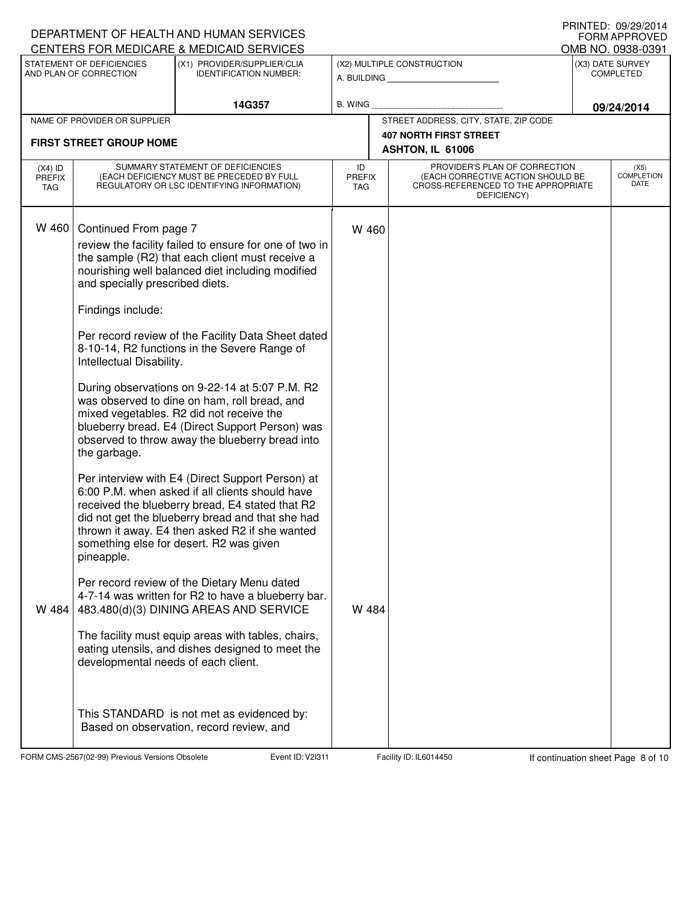|                                   |                                                                               | DEPARTMENT OF HEALTH AND HUMAN SERVICES                                                                                                                                                                                                                                                                                                                |                                   |                                                                                                                          | FORM APPROVED                        |
|-----------------------------------|-------------------------------------------------------------------------------|--------------------------------------------------------------------------------------------------------------------------------------------------------------------------------------------------------------------------------------------------------------------------------------------------------------------------------------------------------|-----------------------------------|--------------------------------------------------------------------------------------------------------------------------|--------------------------------------|
|                                   |                                                                               | CENTERS FOR MEDICARE & MEDICAID SERVICES                                                                                                                                                                                                                                                                                                               |                                   |                                                                                                                          | OMB NO. 0938-0391                    |
|                                   | STATEMENT OF DEFICIENCIES<br>AND PLAN OF CORRECTION                           | (X1) PROVIDER/SUPPLIER/CLIA<br><b>IDENTIFICATION NUMBER:</b>                                                                                                                                                                                                                                                                                           |                                   | (X2) MULTIPLE CONSTRUCTION<br>A. BUILDING                                                                                | (X3) DATE SURVEY<br><b>COMPLETED</b> |
|                                   |                                                                               | 14G357                                                                                                                                                                                                                                                                                                                                                 | <b>B. WING</b>                    |                                                                                                                          | 09/24/2014                           |
|                                   | NAME OF PROVIDER OR SUPPLIER                                                  |                                                                                                                                                                                                                                                                                                                                                        |                                   | STREET ADDRESS, CITY, STATE, ZIP CODE                                                                                    |                                      |
|                                   | <b>FIRST STREET GROUP HOME</b>                                                |                                                                                                                                                                                                                                                                                                                                                        |                                   | <b>407 NORTH FIRST STREET</b>                                                                                            |                                      |
|                                   |                                                                               |                                                                                                                                                                                                                                                                                                                                                        |                                   | ASHTON, IL 61006                                                                                                         |                                      |
| $(X4)$ ID<br><b>PREFIX</b><br>TAG |                                                                               | SUMMARY STATEMENT OF DEFICIENCIES<br>(EACH DEFICIENCY MUST BE PRECEDED BY FULL<br>REGULATORY OR LSC IDENTIFYING INFORMATION)                                                                                                                                                                                                                           | ID<br><b>PREFIX</b><br><b>TAG</b> | PROVIDER'S PLAN OF CORRECTION<br>(EACH CORRECTIVE ACTION SHOULD BE<br>CROSS-REFERENCED TO THE APPROPRIATE<br>DEFICIENCY) | (X5)<br><b>COMPLETION</b><br>DATE    |
| W 460                             | Continued From page 7<br>and specially prescribed diets.<br>Findings include: | review the facility failed to ensure for one of two in<br>the sample (R2) that each client must receive a<br>nourishing well balanced diet including modified                                                                                                                                                                                          | W 460                             |                                                                                                                          |                                      |
|                                   | Intellectual Disability.<br>the garbage.                                      | Per record review of the Facility Data Sheet dated<br>8-10-14, R2 functions in the Severe Range of<br>During observations on 9-22-14 at 5:07 P.M. R2<br>was observed to dine on ham, roll bread, and<br>mixed vegetables. R2 did not receive the<br>blueberry bread. E4 (Direct Support Person) was<br>observed to throw away the blueberry bread into |                                   |                                                                                                                          |                                      |
|                                   | pineapple.                                                                    | Per interview with E4 (Direct Support Person) at<br>6:00 P.M. when asked if all clients should have<br>received the blueberry bread, E4 stated that R2<br>did not get the blueberry bread and that she had<br>thrown it away. E4 then asked R2 if she wanted<br>something else for desert. R2 was given                                                |                                   |                                                                                                                          |                                      |
| W 484                             |                                                                               | Per record review of the Dietary Menu dated<br>4-7-14 was written for R2 to have a blueberry bar.<br>483.480(d)(3) DINING AREAS AND SERVICE                                                                                                                                                                                                            | W 484                             |                                                                                                                          |                                      |
|                                   | developmental needs of each client.                                           | The facility must equip areas with tables, chairs,<br>eating utensils, and dishes designed to meet the                                                                                                                                                                                                                                                 |                                   |                                                                                                                          |                                      |
|                                   |                                                                               | This STANDARD is not met as evidenced by:<br>Based on observation, record review, and                                                                                                                                                                                                                                                                  |                                   |                                                                                                                          |                                      |

FORM CMS-2567(02-99) Previous Versions Obsolete Event ID: V2I311 Facility ID: IL6014450 If continuation sheet Page 8 of 10

DEPARTMENT OF HEALTH AND HUMAN SERVICES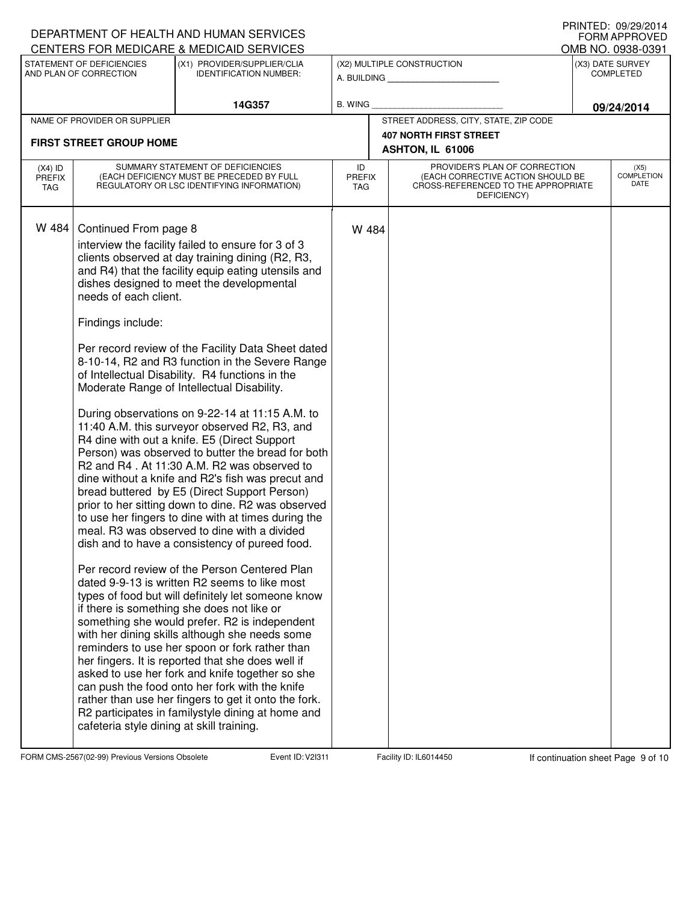|                                   |                                                                                                                  | DEPARTMENT OF HEALTH AND HUMAN SERVICES<br>CENTERS FOR MEDICARE & MEDICAID SERVICES                                                                                                                                                                                                                                                                                                                                                                                                                                                                                                                                                                                                                                                                                                                                                                                                                                                                                                                                                                                                                                                                                                                                                                                                                                                                                                                                                                                                                                                                                                                                                |                             |                                                                                                                          | <b>IIIIIIILLU. VJ/∠J/∠VI<del>I</del></b><br><b>FORM APPROVED</b><br>OMB NO. 0938-0391 |
|-----------------------------------|------------------------------------------------------------------------------------------------------------------|------------------------------------------------------------------------------------------------------------------------------------------------------------------------------------------------------------------------------------------------------------------------------------------------------------------------------------------------------------------------------------------------------------------------------------------------------------------------------------------------------------------------------------------------------------------------------------------------------------------------------------------------------------------------------------------------------------------------------------------------------------------------------------------------------------------------------------------------------------------------------------------------------------------------------------------------------------------------------------------------------------------------------------------------------------------------------------------------------------------------------------------------------------------------------------------------------------------------------------------------------------------------------------------------------------------------------------------------------------------------------------------------------------------------------------------------------------------------------------------------------------------------------------------------------------------------------------------------------------------------------------|-----------------------------|--------------------------------------------------------------------------------------------------------------------------|---------------------------------------------------------------------------------------|
|                                   | STATEMENT OF DEFICIENCIES                                                                                        | (X1) PROVIDER/SUPPLIER/CLIA                                                                                                                                                                                                                                                                                                                                                                                                                                                                                                                                                                                                                                                                                                                                                                                                                                                                                                                                                                                                                                                                                                                                                                                                                                                                                                                                                                                                                                                                                                                                                                                                        |                             | (X2) MULTIPLE CONSTRUCTION                                                                                               | (X3) DATE SURVEY                                                                      |
|                                   | AND PLAN OF CORRECTION                                                                                           | <b>IDENTIFICATION NUMBER:</b>                                                                                                                                                                                                                                                                                                                                                                                                                                                                                                                                                                                                                                                                                                                                                                                                                                                                                                                                                                                                                                                                                                                                                                                                                                                                                                                                                                                                                                                                                                                                                                                                      |                             | A. BUILDING                                                                                                              | <b>COMPLETED</b>                                                                      |
|                                   |                                                                                                                  | 14G357                                                                                                                                                                                                                                                                                                                                                                                                                                                                                                                                                                                                                                                                                                                                                                                                                                                                                                                                                                                                                                                                                                                                                                                                                                                                                                                                                                                                                                                                                                                                                                                                                             | <b>B. WING</b>              |                                                                                                                          | 09/24/2014                                                                            |
|                                   | NAME OF PROVIDER OR SUPPLIER                                                                                     |                                                                                                                                                                                                                                                                                                                                                                                                                                                                                                                                                                                                                                                                                                                                                                                                                                                                                                                                                                                                                                                                                                                                                                                                                                                                                                                                                                                                                                                                                                                                                                                                                                    |                             | STREET ADDRESS, CITY, STATE, ZIP CODE                                                                                    |                                                                                       |
|                                   | <b>FIRST STREET GROUP HOME</b>                                                                                   |                                                                                                                                                                                                                                                                                                                                                                                                                                                                                                                                                                                                                                                                                                                                                                                                                                                                                                                                                                                                                                                                                                                                                                                                                                                                                                                                                                                                                                                                                                                                                                                                                                    |                             | <b>407 NORTH FIRST STREET</b><br>ASHTON, IL 61006                                                                        |                                                                                       |
| $(X4)$ ID<br><b>PREFIX</b><br>TAG |                                                                                                                  | SUMMARY STATEMENT OF DEFICIENCIES<br>(EACH DEFICIENCY MUST BE PRECEDED BY FULL<br>REGULATORY OR LSC IDENTIFYING INFORMATION)                                                                                                                                                                                                                                                                                                                                                                                                                                                                                                                                                                                                                                                                                                                                                                                                                                                                                                                                                                                                                                                                                                                                                                                                                                                                                                                                                                                                                                                                                                       | ID<br><b>PREFIX</b><br>TAG. | PROVIDER'S PLAN OF CORRECTION<br>(EACH CORRECTIVE ACTION SHOULD BE<br>CROSS-REFERENCED TO THE APPROPRIATE<br>DEFICIENCY) | (X5)<br><b>COMPLETION</b><br><b>DATE</b>                                              |
| W 484                             | Continued From page 8<br>needs of each client.<br>Findings include:<br>cafeteria style dining at skill training. | interview the facility failed to ensure for 3 of 3<br>clients observed at day training dining (R2, R3,<br>and R4) that the facility equip eating utensils and<br>dishes designed to meet the developmental<br>Per record review of the Facility Data Sheet dated<br>8-10-14, R2 and R3 function in the Severe Range<br>of Intellectual Disability. R4 functions in the<br>Moderate Range of Intellectual Disability.<br>During observations on 9-22-14 at 11:15 A.M. to<br>11:40 A.M. this surveyor observed R2, R3, and<br>R4 dine with out a knife. E5 (Direct Support<br>Person) was observed to butter the bread for both<br>R2 and R4. At 11:30 A.M. R2 was observed to<br>dine without a knife and R2's fish was precut and<br>bread buttered by E5 (Direct Support Person)<br>prior to her sitting down to dine. R2 was observed<br>to use her fingers to dine with at times during the<br>meal. R3 was observed to dine with a divided<br>dish and to have a consistency of pureed food.<br>Per record review of the Person Centered Plan<br>dated 9-9-13 is written R2 seems to like most<br>types of food but will definitely let someone know<br>if there is something she does not like or<br>something she would prefer. R2 is independent<br>with her dining skills although she needs some<br>reminders to use her spoon or fork rather than<br>her fingers. It is reported that she does well if<br>asked to use her fork and knife together so she<br>can push the food onto her fork with the knife<br>rather than use her fingers to get it onto the fork.<br>R2 participates in familystyle dining at home and | W 484                       |                                                                                                                          |                                                                                       |

FORM CMS-2567(02-99) Previous Versions Obsolete Event ID: V2I311 Facility ID: IL6014450 If continuation sheet Page 9 of 10